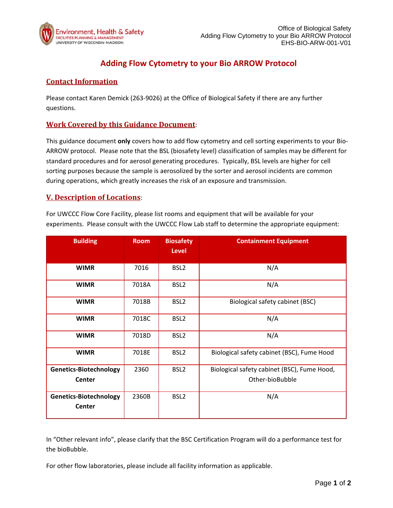

# **Adding Flow Cytometry to your Bio ARROW Protocol**

## **Contact Information**

Please contact Karen Demick (263‐9026) at the Office of Biological Safety if there are any further questions.

### **Work Covered by this Guidance Document**:

This guidance document **only** covers how to add flow cytometry and cell sorting experiments to your Bio‐ ARROW protocol. Please note that the BSL (biosafety level) classification of samples may be different for standard procedures and for aerosol generating procedures. Typically, BSL levels are higher for cell sorting purposes because the sample is aerosolized by the sorter and aerosol incidents are common during operations, which greatly increases the risk of an exposure and transmission.

#### **V. Description of Locations**:

For UWCCC Flow Core Facility, please list rooms and equipment that will be available for your experiments. Please consult with the UWCCC Flow Lab staff to determine the appropriate equipment:

| <b>Building</b>                                | <b>Room</b> | <b>Biosafety</b><br><b>Level</b> | <b>Containment Equipment</b>                                   |
|------------------------------------------------|-------------|----------------------------------|----------------------------------------------------------------|
| <b>WIMR</b>                                    | 7016        | BSL <sub>2</sub>                 | N/A                                                            |
| <b>WIMR</b>                                    | 7018A       | BSL <sub>2</sub>                 | N/A                                                            |
| <b>WIMR</b>                                    | 7018B       | BSL <sub>2</sub>                 | Biological safety cabinet (BSC)                                |
| <b>WIMR</b>                                    | 7018C       | BSL <sub>2</sub>                 | N/A                                                            |
| <b>WIMR</b>                                    | 7018D       | BSL <sub>2</sub>                 | N/A                                                            |
| <b>WIMR</b>                                    | 7018E       | BSL <sub>2</sub>                 | Biological safety cabinet (BSC), Fume Hood                     |
| <b>Genetics-Biotechnology</b><br><b>Center</b> | 2360        | BSL <sub>2</sub>                 | Biological safety cabinet (BSC), Fume Hood,<br>Other-bioBubble |
| <b>Genetics-Biotechnology</b><br><b>Center</b> | 2360B       | BSL <sub>2</sub>                 | N/A                                                            |

In "Other relevant info", please clarify that the BSC Certification Program will do a performance test for the bioBubble.

For other flow laboratories, please include all facility information as applicable.